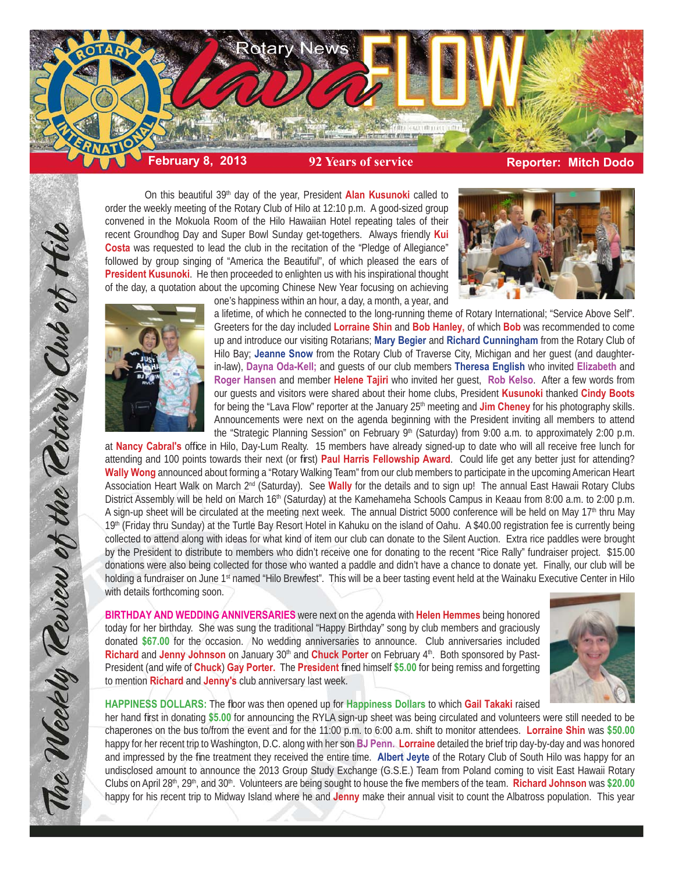

On this beautiful 39<sup>th</sup> day of the year, President **Alan Kusunoki** called to order the weekly meeting of the Rotary Club of Hilo at 12:10 p.m. A good-sized group convened in the Mokuola Room of the Hilo Hawaiian Hotel repeating tales of their recent Groundhog Day and Super Bowl Sunday get-togethers. Always friendly **Kui Costa** was requested to lead the club in the recitation of the "Pledge of Allegiance" followed by group singing of "America the Beautiful", of which pleased the ears of **President Kusunoki**. He then proceeded to enlighten us with his inspirational thought of the day, a quotation about the upcoming Chinese New Year focusing on achieving one's happiness within an hour, a day, a month, a year, and





The Weekly Teview of the Tetary Club of Hilo

a lifetime, of which he connected to the long-running theme of Rotary International; "Service Above Self". Greeters for the day included **Lorraine Shin** and **Bob Hanley,** of which **Bob** was recommended to come up and introduce our visiting Rotarians; **Mary Begier** and **Richard Cunningham** from the Rotary Club of Hilo Bay; **Jeanne Snow** from the Rotary Club of Traverse City, Michigan and her guest (and daughterin-law), **Dayna Oda-Kell;** and guests of our club members **Theresa English** who invited **Elizabeth** and **Roger Hansen** and member **Helene Tajiri** who invited her guest, **Rob Kelso**. After a few words from our guests and visitors were shared about their home clubs, President **Kusunoki** thanked **Cindy Boots** for being the "Lava Flow" reporter at the January 25<sup>th</sup> meeting and **Jim Cheney** for his photography skills. Announcements were next on the agenda beginning with the President inviting all members to attend the "Strategic Planning Session" on February 9<sup>th</sup> (Saturday) from 9:00 a.m. to approximately 2:00 p.m.

at Nancy Cabral's office in Hilo, Day-Lum Realty. 15 members have already signed-up to date who will all receive free lunch for attending and 100 points towards their next (or first) **Paul Harris Fellowship Award**. Could life get any better just for attending? **Wally Wong** announced about forming a "Rotary Walking Team" from our club members to participate in the upcoming American Heart Association Heart Walk on March 2nd (Saturday). See **Wally** for the details and to sign up! The annual East Hawaii Rotary Clubs District Assembly will be held on March 16<sup>th</sup> (Saturday) at the Kamehameha Schools Campus in Keaau from 8:00 a.m. to 2:00 p.m. A sign-up sheet will be circulated at the meeting next week. The annual District 5000 conference will be held on May 17th thru May 19<sup>th</sup> (Friday thru Sunday) at the Turtle Bay Resort Hotel in Kahuku on the island of Oahu. A \$40.00 registration fee is currently being collected to attend along with ideas for what kind of item our club can donate to the Silent Auction. Extra rice paddles were brought by the President to distribute to members who didn't receive one for donating to the recent "Rice Rally" fundraiser project. \$15.00 donations were also being collected for those who wanted a paddle and didn't have a chance to donate yet. Finally, our club will be holding a fundraiser on June 1<sup>st</sup> named "Hilo Brewfest". This will be a beer tasting event held at the Wainaku Executive Center in Hilo with details forthcoming soon.

**BIRTHDAY AND WEDDING ANNIVERSARIES** were next on the agenda with **Helen Hemmes** being honored today for her birthday. She was sung the traditional "Happy Birthday" song by club members and graciously donated **\$67.00** for the occasion. No wedding anniversaries to announce. Club anniversaries included **Richard** and Jenny Johnson on January 30<sup>th</sup> and **Chuck Porter** on February 4<sup>th</sup>. Both sponsored by Past-President (and wife of **Chuck) Gay Porter.** The **President** fined himself \$5.00 for being remiss and forgetting to mention **Richard** and **Jenny's** club anniversary last week.



**HAPPINESS DOLLARS:** The floor was then opened up for **Happiness Dollars** to which **Gail Takaki** raised

her hand first in donating \$5.00 for announcing the RYLA sign-up sheet was being circulated and volunteers were still needed to be chaperones on the bus to/from the event and for the 11:00 p.m. to 6:00 a.m. shift to monitor attendees. **Lorraine Shin** was **\$50.00** happy for her recent trip to Washington, D.C. along with her son **BJ Penn. Lorraine** detailed the brief trip day-by-day and was honored and impressed by the fine treatment they received the entire time. Albert Jeyte of the Rotary Club of South Hilo was happy for an undisclosed amount to announce the 2013 Group Study Exchange (G.S.E.) Team from Poland coming to visit East Hawaii Rotary Clubs on April 28<sup>th</sup>, 29<sup>th</sup>, and 30<sup>th</sup>. Volunteers are being sought to house the five members of the team. **Richard Johnson** was \$20.00 happy for his recent trip to Midway Island where he and **Jenny** make their annual visit to count the Albatross population. This year